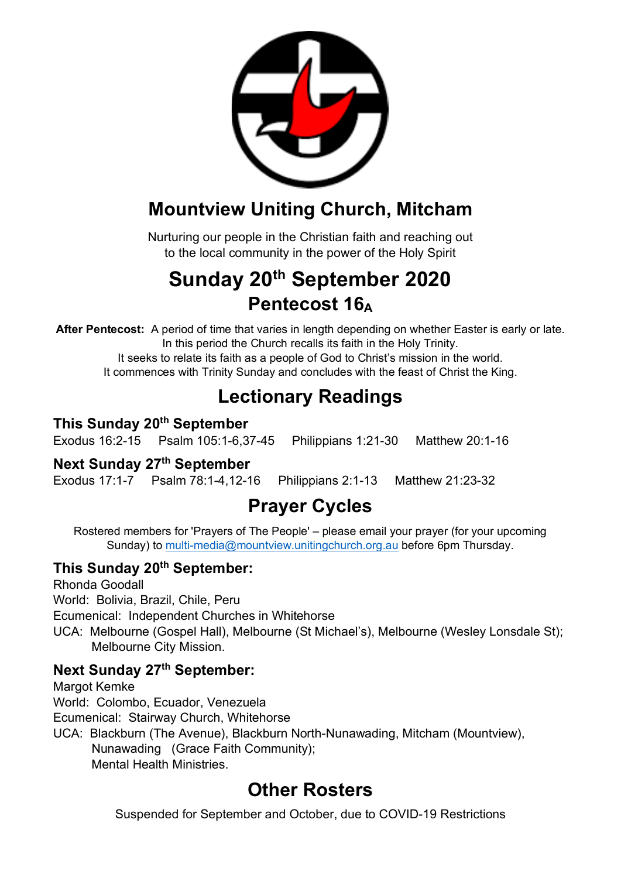

## **Mountview Uniting Church, Mitcham**

Nurturing our people in the Christian faith and reaching out to the local community in the power of the Holy Spirit

## **Sunday 20th September 2020 Pentecost 16A**

**After Pentecost:** A period of time that varies in length depending on whether Easter is early or late. In this period the Church recalls its faith in the Holy Trinity.

It seeks to relate its faith as a people of God to Christ's mission in the world. It commences with Trinity Sunday and concludes with the feast of Christ the King.

## **Lectionary Readings**

#### **This Sunday 20th September**

Exodus 16:2-15 Psalm 105:1-6,37-45 Philippians 1:21-30 Matthew 20:1-16

#### **Next Sunday 27th September**

Exodus 17:1-7 Psalm 78:1-4,12-16 Philippians 2:1-13 Matthew 21:23-32

## **Prayer Cycles**

Rostered members for 'Prayers of The People' – please email your prayer (for your upcoming Sunday) to multi-media@mountview.unitingchurch.org.au before 6pm Thursday.

#### **This Sunday 20th September:**

Rhonda Goodall

World: Bolivia, Brazil, Chile, Peru

Ecumenical: Independent Churches in Whitehorse

UCA: Melbourne (Gospel Hall), Melbourne (St Michael's), Melbourne (Wesley Lonsdale St); Melbourne City Mission.

#### **Next Sunday 27th September:**

Margot Kemke World: Colombo, Ecuador, Venezuela Ecumenical: Stairway Church, Whitehorse UCA: Blackburn (The Avenue), Blackburn North-Nunawading, Mitcham (Mountview), Nunawading (Grace Faith Community); Mental Health Ministries.

### **Other Rosters**

Suspended for September and October, due to COVID-19 Restrictions